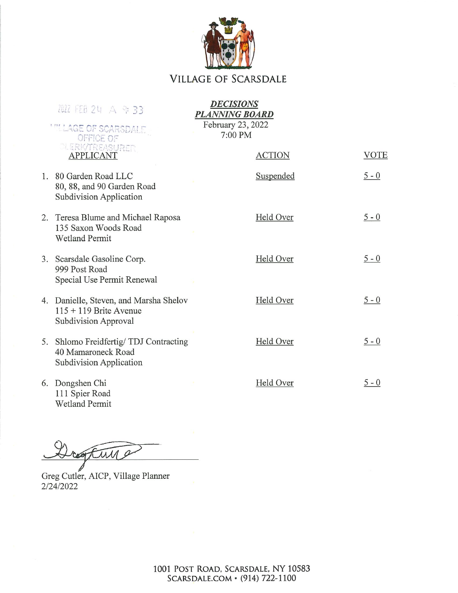

## **VILLAGE OF SCARSDALE**

| 2022 FEB 24 A 9 33                                                                         | <b>DECISIONS</b><br><b>PLANNING BOARD</b> |             |
|--------------------------------------------------------------------------------------------|-------------------------------------------|-------------|
| <b>MILLAGE OF SCARSDALE</b><br>OFFICE OF                                                   | February 23, 2022<br>7:00 PM              |             |
| <b>PLERK/TREASURER</b><br><b>APPLICANT</b>                                                 | <b>ACTION</b>                             | <b>VOTE</b> |
| 1. 80 Garden Road LLC<br>80, 88, and 90 Garden Road<br>Subdivision Application             | Suspended                                 | $5 - 0$     |
| 2. Teresa Blume and Michael Raposa<br>135 Saxon Woods Road<br><b>Wetland Permit</b>        | Held Over                                 | $5 - 0$     |
| 3. Scarsdale Gasoline Corp.<br>999 Post Road<br>Special Use Permit Renewal                 | Held Over                                 | $5 - 0$     |
| 4. Danielle, Steven, and Marsha Shelov<br>$115 + 119$ Brite Avenue<br>Subdivision Approval | Held Over                                 | $5 - 0$     |
| 5. Shlomo Freidfertig/TDJ Contracting<br>40 Mamaroneck Road<br>Subdivision Application     | Held Over                                 | $5 - 0$     |
| 6. Dongshen Chi<br>111 Spier Road                                                          | Held Over                                 | $5 - 0$     |

Wetland Permit

resture

Greg Cutler, AICP, Village Planner 2/24/2022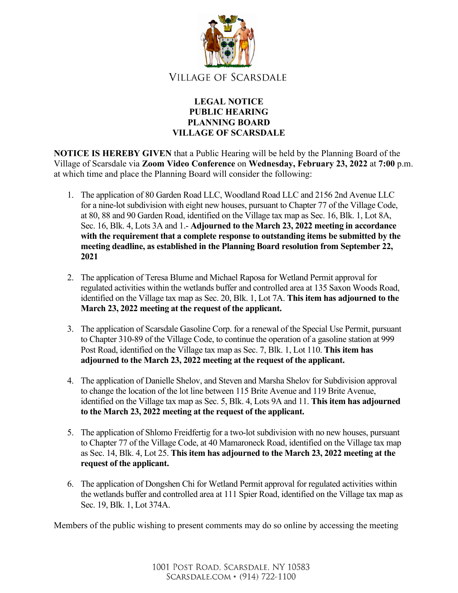

## **LEGAL NOTICE PUBLIC HEARING PLANNING BOARD VILLAGE OF SCARSDALE**

**NOTICE IS HEREBY GIVEN** that a Public Hearing will be held by the Planning Board of the Village of Scarsdale via **Zoom Video Conference** on **Wednesday, February 23, 2022** at **7:00** p.m. at which time and place the Planning Board will consider the following:

- 1. The application of 80 Garden Road LLC, Woodland Road LLC and 2156 2nd Avenue LLC for a nine-lot subdivision with eight new houses, pursuant to Chapter 77 of the Village Code, at 80, 88 and 90 Garden Road, identified on the Village tax map as Sec. 16, Blk. 1, Lot 8A, Sec. 16, Blk. 4, Lots 3A and 1.- **Adjourned to the March 23, 2022 meeting in accordance with the requirement that a complete response to outstanding items be submitted by the meeting deadline, as established in the Planning Board resolution from September 22, 2021**
- 2. The application of Teresa Blume and Michael Raposa for Wetland Permit approval for regulated activities within the wetlands buffer and controlled area at 135 Saxon Woods Road, identified on the Village tax map as Sec. 20, Blk. 1, Lot 7A. **This item has adjourned to the March 23, 2022 meeting at the request of the applicant.**
- 3. The application of Scarsdale Gasoline Corp. for a renewal of the Special Use Permit, pursuant to Chapter 310-89 of the Village Code, to continue the operation of a gasoline station at 999 Post Road, identified on the Village tax map as Sec. 7, Blk. 1, Lot 110. **This item has adjourned to the March 23, 2022 meeting at the request of the applicant.**
- 4. The application of Danielle Shelov, and Steven and Marsha Shelov for Subdivision approval to change the location of the lot line between 115 Brite Avenue and 119 Brite Avenue, identified on the Village tax map as Sec. 5, Blk. 4, Lots 9A and 11. **This item has adjourned to the March 23, 2022 meeting at the request of the applicant.**
- 5. The application of Shlomo Freidfertig for a two-lot subdivision with no new houses, pursuant to Chapter 77 of the Village Code, at 40 Mamaroneck Road, identified on the Village tax map as Sec. 14, Blk. 4, Lot 25. **This item has adjourned to the March 23, 2022 meeting at the request of the applicant.**
- 6. The application of Dongshen Chi for Wetland Permit approval for regulated activities within the wetlands buffer and controlled area at 111 Spier Road, identified on the Village tax map as Sec. 19, Blk. 1, Lot 374A.

Members of the public wishing to present comments may do so online by accessing the meeting

1001 POST ROAD, SCARSDALE, NY 10583 SCARSDALE.COM • (914) 722-1100